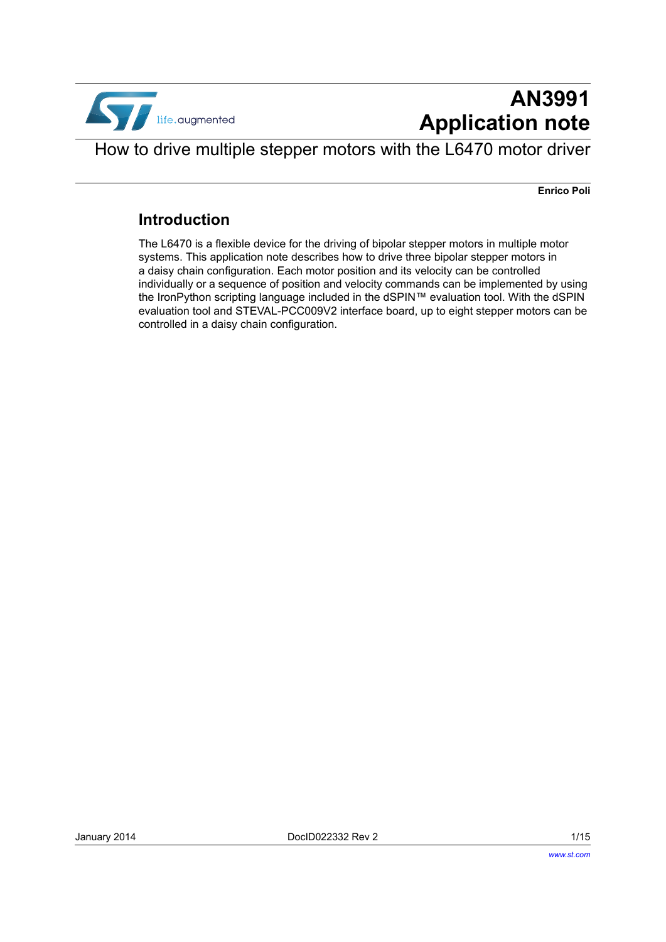

# **AN3991 Application note**

How to drive multiple stepper motors with the L6470 motor driver

**Enrico Poli**

#### **Introduction**

The L6470 is a flexible device for the driving of bipolar stepper motors in multiple motor systems. This application note describes how to drive three bipolar stepper motors in a daisy chain configuration. Each motor position and its velocity can be controlled individually or a sequence of position and velocity commands can be implemented by using the IronPython scripting language included in the dSPIN™ evaluation tool. With the dSPIN evaluation tool and STEVAL-PCC009V2 interface board, up to eight stepper motors can be controlled in a daisy chain configuration.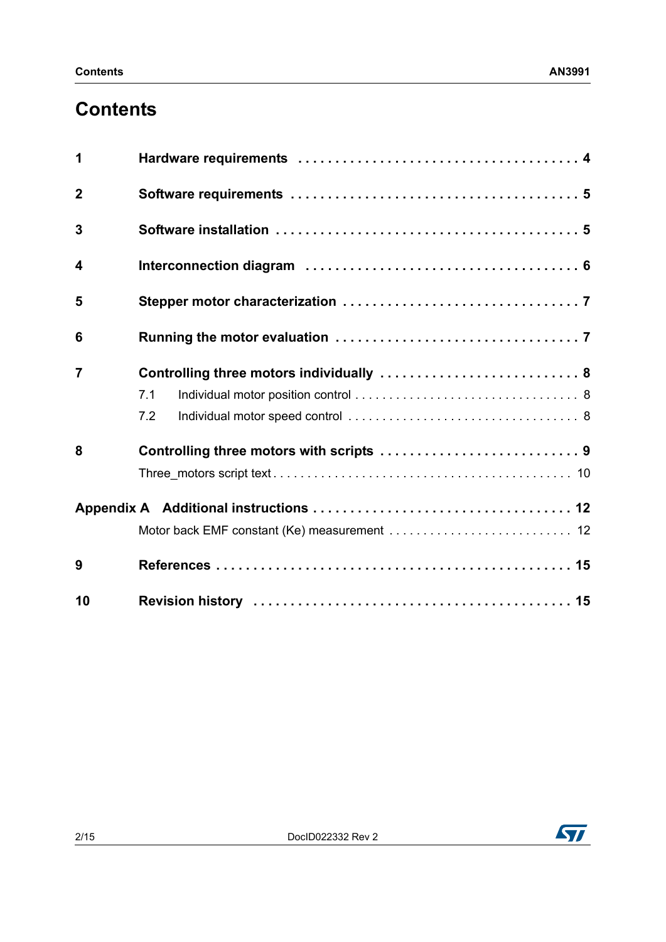# **Contents**

| 1              |                                          |  |  |  |
|----------------|------------------------------------------|--|--|--|
| $\overline{2}$ |                                          |  |  |  |
| 3              |                                          |  |  |  |
| 4              |                                          |  |  |  |
| 5              |                                          |  |  |  |
| 6              |                                          |  |  |  |
| $\overline{7}$ | Controlling three motors individually  8 |  |  |  |
|                | 7.1                                      |  |  |  |
|                | 7.2                                      |  |  |  |
| 8              |                                          |  |  |  |
|                |                                          |  |  |  |
|                |                                          |  |  |  |
|                |                                          |  |  |  |
| 9              |                                          |  |  |  |
| 10             |                                          |  |  |  |

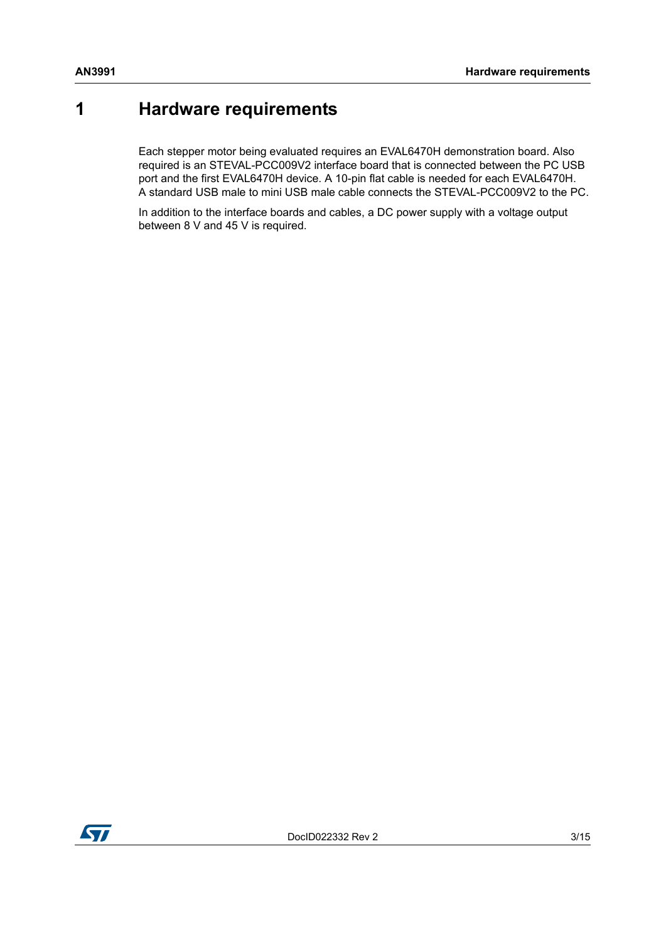## <span id="page-2-0"></span>**1 Hardware requirements**

Each stepper motor being evaluated requires an EVAL6470H demonstration board. Also required is an STEVAL-PCC009V2 interface board that is connected between the PC USB port and the first EVAL6470H device. A 10-pin flat cable is needed for each EVAL6470H. A standard USB male to mini USB male cable connects the STEVAL-PCC009V2 to the PC.

In addition to the interface boards and cables, a DC power supply with a voltage output between 8 V and 45 V is required.

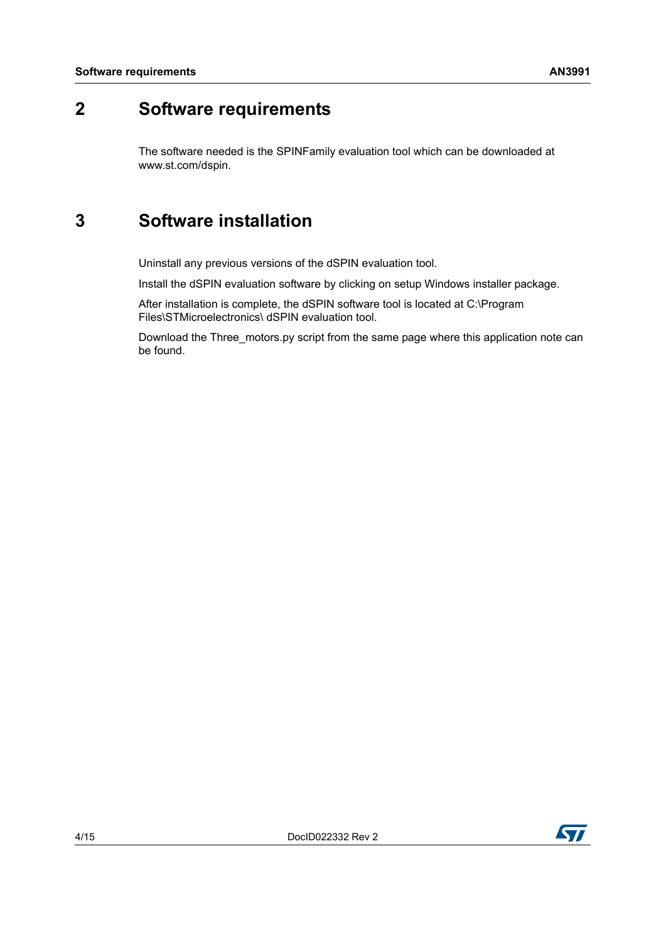## <span id="page-3-0"></span>**2 Software requirements**

The software needed is the SPINFamily evaluation tool which can be downloaded at www.st.com/dspin.

## <span id="page-3-1"></span>**3 Software installation**

Uninstall any previous versions of the dSPIN evaluation tool.

Install the dSPIN evaluation software by clicking on setup Windows installer package.

After installation is complete, the dSPIN software tool is located at C:\Program Files\STMicroelectronics\ dSPIN evaluation tool.

Download the Three motors.py script from the same page where this application note can be found.

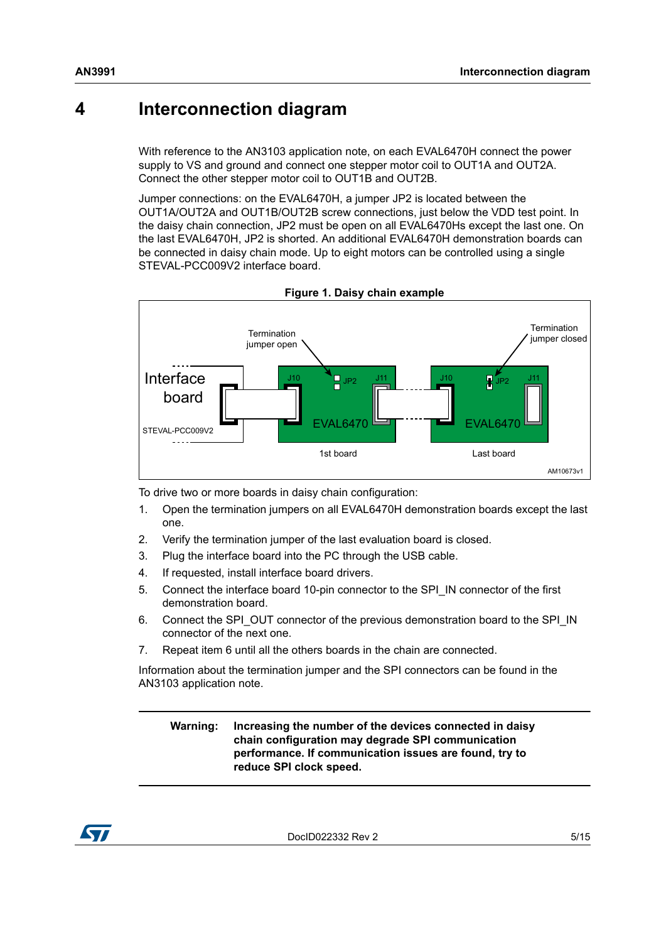### <span id="page-4-0"></span>**4 Interconnection diagram**

With reference to the AN3103 application note, on each EVAL6470H connect the power supply to VS and ground and connect one stepper motor coil to OUT1A and OUT2A. Connect the other stepper motor coil to OUT1B and OUT2B.

Jumper connections: on the EVAL6470H, a jumper JP2 is located between the OUT1A/OUT2A and OUT1B/OUT2B screw connections, just below the VDD test point. In the daisy chain connection, JP2 must be open on all EVAL6470Hs except the last one. On the last EVAL6470H, JP2 is shorted. An additional EVAL6470H demonstration boards can be connected in daisy chain mode. Up to eight motors can be controlled using a single STEVAL-PCC009V2 interface board.



**Figure 1. Daisy chain example**

To drive two or more boards in daisy chain configuration:

- 1. Open the termination jumpers on all EVAL6470H demonstration boards except the last one.
- 2. Verify the termination jumper of the last evaluation board is closed.
- 3. Plug the interface board into the PC through the USB cable.
- 4. If requested, install interface board drivers.
- 5. Connect the interface board 10-pin connector to the SPI\_IN connector of the first demonstration board.
- 6. Connect the SPI\_OUT connector of the previous demonstration board to the SPI\_IN connector of the next one.
- 7. Repeat item 6 until all the others boards in the chain are connected.

Information about the termination jumper and the SPI connectors can be found in the AN3103 application note.

**Warning: Increasing the number of the devices connected in daisy chain configuration may degrade SPI communication performance. If communication issues are found, try to reduce SPI clock speed.**



DocID022332 Rev 2 5/15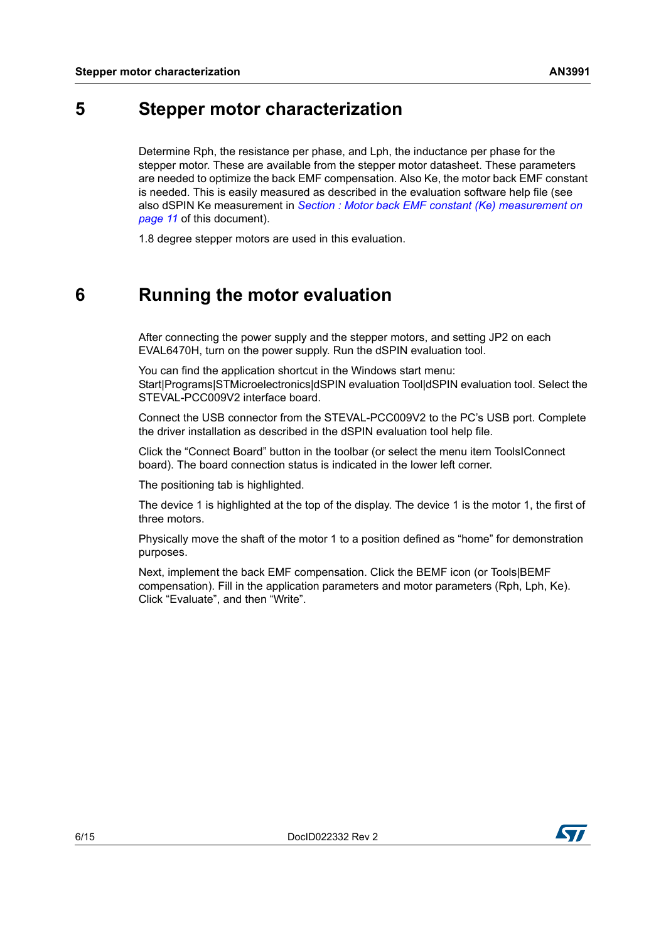### <span id="page-5-0"></span>**5 Stepper motor characterization**

Determine Rph, the resistance per phase, and Lph, the inductance per phase for the stepper motor. These are available from the stepper motor datasheet. These parameters are needed to optimize the back EMF compensation. Also Ke, the motor back EMF constant is needed. This is easily measured as described in the evaluation software help file (see also dSPIN Ke measurement in *[Section : Motor back EMF constant \(Ke\) measurement on](#page-10-1)  [page 11](#page-10-1)* of this document).

1.8 degree stepper motors are used in this evaluation.

## <span id="page-5-1"></span>**6 Running the motor evaluation**

After connecting the power supply and the stepper motors, and setting JP2 on each EVAL6470H, turn on the power supply. Run the dSPIN evaluation tool.

You can find the application shortcut in the Windows start menu: Start|Programs|STMicroelectronics|dSPIN evaluation Tool|dSPIN evaluation tool. Select the STEVAL-PCC009V2 interface board.

Connect the USB connector from the STEVAL-PCC009V2 to the PC's USB port. Complete the driver installation as described in the dSPIN evaluation tool help file.

Click the "Connect Board" button in the toolbar (or select the menu item ToolsIConnect board). The board connection status is indicated in the lower left corner.

The positioning tab is highlighted.

The device 1 is highlighted at the top of the display. The device 1 is the motor 1, the first of three motors.

Physically move the shaft of the motor 1 to a position defined as "home" for demonstration purposes.

Next, implement the back EMF compensation. Click the BEMF icon (or Tools|BEMF compensation). Fill in the application parameters and motor parameters (Rph, Lph, Ke). Click "Evaluate", and then "Write".

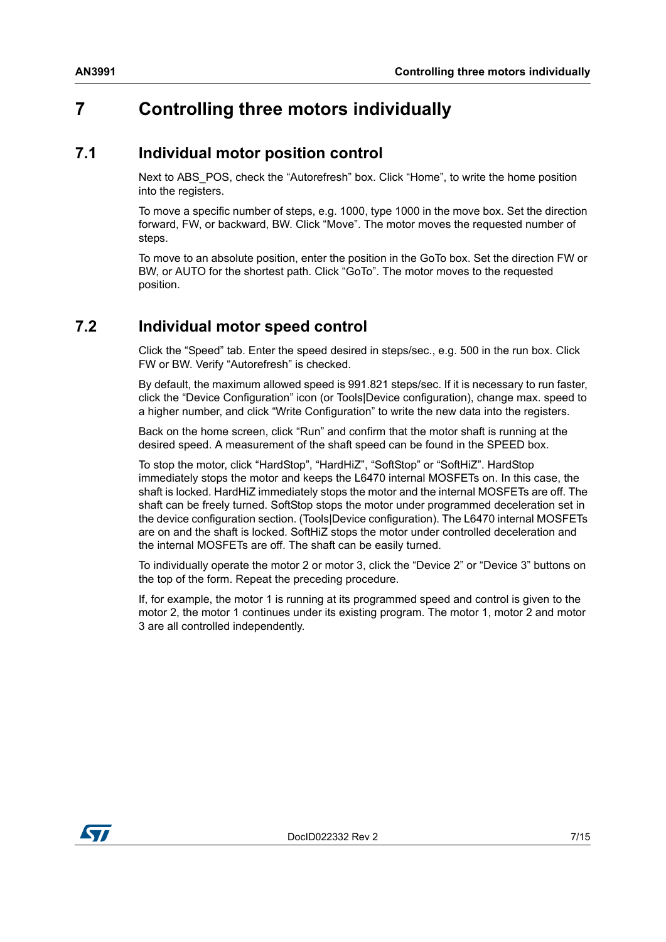## <span id="page-6-0"></span>**7 Controlling three motors individually**

#### <span id="page-6-1"></span>**7.1 Individual motor position control**

Next to ABS\_POS, check the "Autorefresh" box. Click "Home", to write the home position into the registers.

To move a specific number of steps, e.g. 1000, type 1000 in the move box. Set the direction forward, FW, or backward, BW. Click "Move". The motor moves the requested number of steps.

To move to an absolute position, enter the position in the GoTo box. Set the direction FW or BW, or AUTO for the shortest path. Click "GoTo". The motor moves to the requested position.

### <span id="page-6-2"></span>**7.2 Individual motor speed control**

Click the "Speed" tab. Enter the speed desired in steps/sec., e.g. 500 in the run box. Click FW or BW. Verify "Autorefresh" is checked.

By default, the maximum allowed speed is 991.821 steps/sec. If it is necessary to run faster, click the "Device Configuration" icon (or Tools|Device configuration), change max. speed to a higher number, and click "Write Configuration" to write the new data into the registers.

Back on the home screen, click "Run" and confirm that the motor shaft is running at the desired speed. A measurement of the shaft speed can be found in the SPEED box.

To stop the motor, click "HardStop", "HardHiZ", "SoftStop" or "SoftHiZ". HardStop immediately stops the motor and keeps the L6470 internal MOSFETs on. In this case, the shaft is locked. HardHiZ immediately stops the motor and the internal MOSFETs are off. The shaft can be freely turned. SoftStop stops the motor under programmed deceleration set in the device configuration section. (Tools|Device configuration). The L6470 internal MOSFETs are on and the shaft is locked. SoftHiZ stops the motor under controlled deceleration and the internal MOSFETs are off. The shaft can be easily turned.

To individually operate the motor 2 or motor 3, click the "Device 2" or "Device 3" buttons on the top of the form. Repeat the preceding procedure.

If, for example, the motor 1 is running at its programmed speed and control is given to the motor 2, the motor 1 continues under its existing program. The motor 1, motor 2 and motor 3 are all controlled independently.

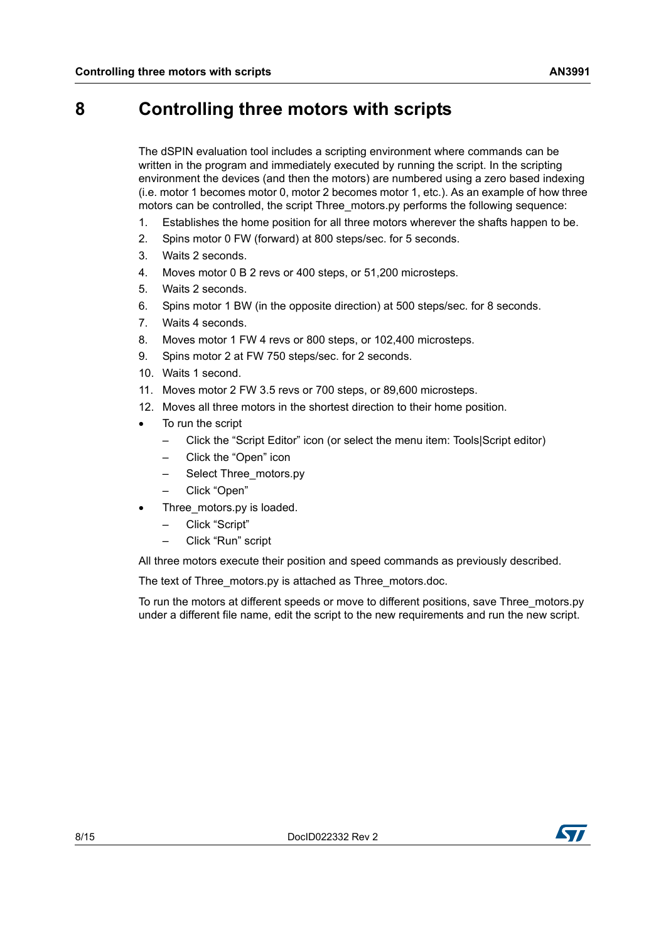### <span id="page-7-0"></span>**8 Controlling three motors with scripts**

The dSPIN evaluation tool includes a scripting environment where commands can be written in the program and immediately executed by running the script. In the scripting environment the devices (and then the motors) are numbered using a zero based indexing (i.e. motor 1 becomes motor 0, motor 2 becomes motor 1, etc.). As an example of how three motors can be controlled, the script Three\_motors.py performs the following sequence:

- 1. Establishes the home position for all three motors wherever the shafts happen to be.
- 2. Spins motor 0 FW (forward) at 800 steps/sec. for 5 seconds.
- 3. Waits 2 seconds.
- 4. Moves motor 0 B 2 revs or 400 steps, or 51,200 microsteps.
- 5. Waits 2 seconds.
- 6. Spins motor 1 BW (in the opposite direction) at 500 steps/sec. for 8 seconds.
- 7. Waits 4 seconds.
- 8. Moves motor 1 FW 4 revs or 800 steps, or 102,400 microsteps.
- 9. Spins motor 2 at FW 750 steps/sec. for 2 seconds.
- 10. Waits 1 second.
- 11. Moves motor 2 FW 3.5 revs or 700 steps, or 89,600 microsteps.
- 12. Moves all three motors in the shortest direction to their home position.
- To run the script
	- Click the "Script Editor" icon (or select the menu item: Tools|Script editor)
	- Click the "Open" icon
	- Select Three\_motors.py
	- Click "Open"
- Three\_motors.py is loaded.
	- Click "Script"
	- Click "Run" script

All three motors execute their position and speed commands as previously described.

The text of Three\_motors.py is attached as Three\_motors.doc.

To run the motors at different speeds or move to different positions, save Three\_motors.py under a different file name, edit the script to the new requirements and run the new script.

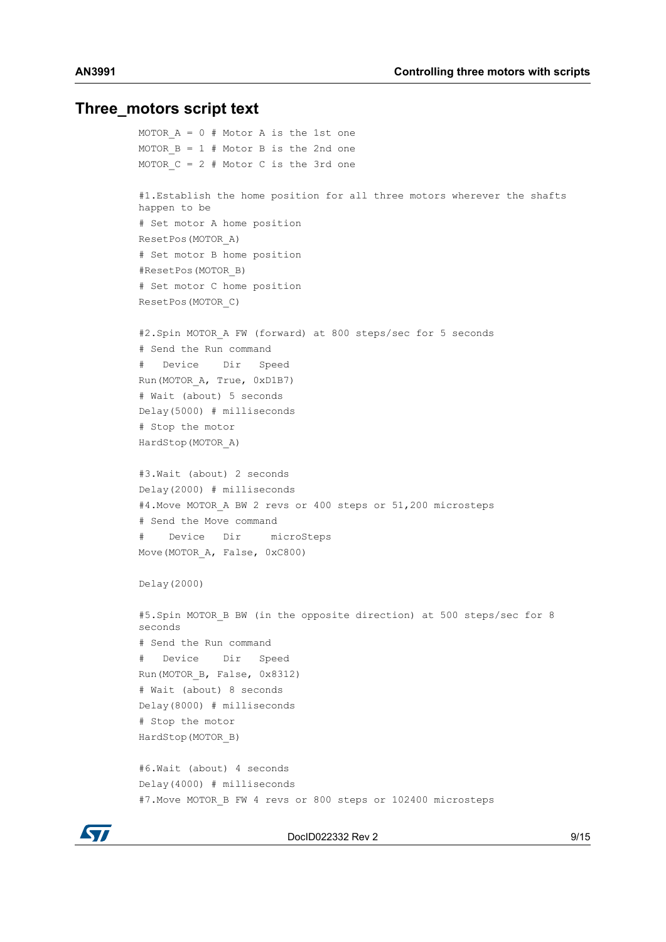#### <span id="page-8-0"></span>**Three\_motors script text**

```
MOTOR A = 0 # Motor A is the 1st one
MOTOR B = 1 # Motor B is the 2nd one
MOTOR C = 2 # Motor C is the 3rd one
#1.Establish the home position for all three motors wherever the shafts 
happen to be
# Set motor A home position
ResetPos(MOTOR_A)
# Set motor B home position
#ResetPos(MOTOR_B)
# Set motor C home position
ResetPos(MOTOR_C)
#2.Spin MOTOR_A FW (forward) at 800 steps/sec for 5 seconds
# Send the Run command
   Device Dir Speed
Run(MOTOR_A, True, 0xD1B7)
# Wait (about) 5 seconds
Delay(5000) # milliseconds
# Stop the motor
HardStop(MOTOR_A)
#3.Wait (about) 2 seconds
Delay(2000) # milliseconds
#4. Move MOTOR A BW 2 revs or 400 steps or 51,200 microsteps
# Send the Move command
# Device Dir microSteps
Move(MOTOR A, False, 0xC800)
Delay(2000)
#5. Spin MOTOR B BW (in the opposite direction) at 500 steps/sec for 8
seconds
# Send the Run command
# Device Dir Speed
Run(MOTOR_B, False, 0x8312)
# Wait (about) 8 seconds
Delay(8000) # milliseconds
# Stop the motor
HardStop(MOTOR_B)
#6.Wait (about) 4 seconds
Delay(4000) # milliseconds
#7. Move MOTOR B FW 4 revs or 800 steps or 102400 microsteps
```


DocID022332 Rev 2 9/15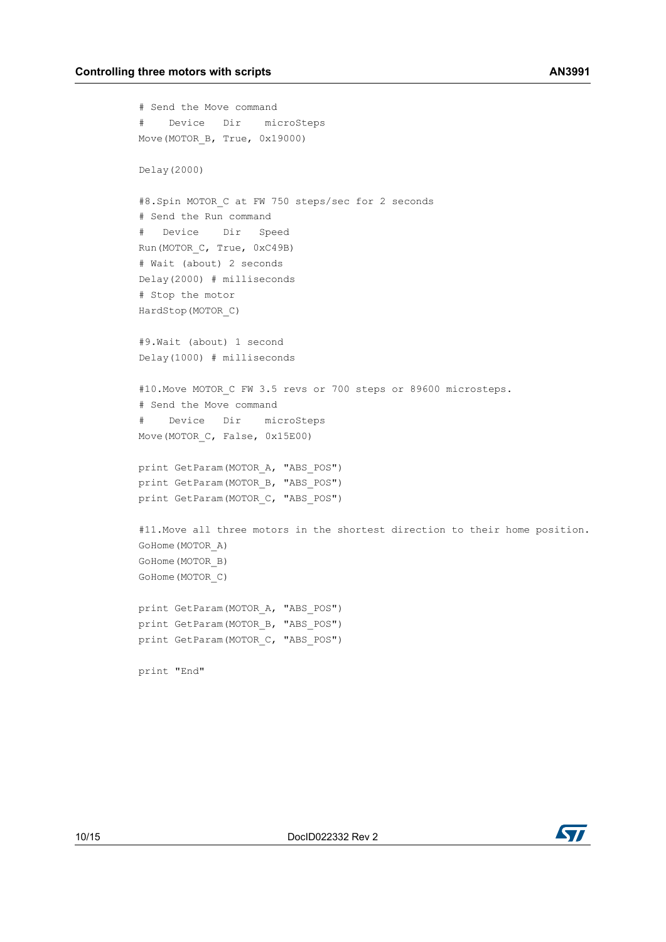```
# Send the Move command
# Device Dir microSteps
Move(MOTOR_B, True, 0x19000)
Delay(2000)
#8.Spin MOTOR_C at FW 750 steps/sec for 2 seconds
# Send the Run command
# Device Dir Speed
Run(MOTOR_C, True, 0xC49B)
# Wait (about) 2 seconds
Delay(2000) # milliseconds
# Stop the motor
HardStop(MOTOR_C)
#9.Wait (about) 1 second
Delay(1000) # milliseconds
#10. Move MOTOR C FW 3.5 revs or 700 steps or 89600 microsteps.
# Send the Move command
# Device Dir microSteps
Move(MOTOR C, False, 0x15E00)
print GetParam(MOTOR A, "ABS POS")
print GetParam(MOTOR B, "ABS POS")
print GetParam(MOTOR C, "ABS POS")
#11.Move all three motors in the shortest direction to their home position.
GoHome(MOTOR_A)
GoHome(MOTOR_B)
GoHome(MOTOR_C)
print GetParam(MOTOR A, "ABS POS")
print GetParam(MOTOR B, "ABS POS")
print GetParam(MOTOR C, "ABS POS")
print "End"
```
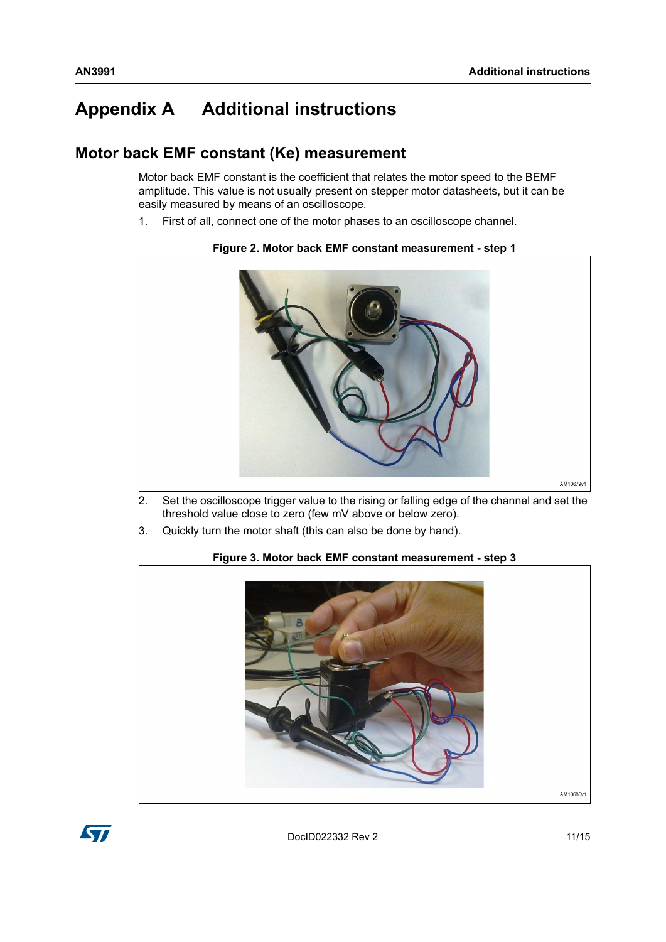# <span id="page-10-0"></span>**Appendix A Additional instructions**

#### <span id="page-10-1"></span>**Motor back EMF constant (Ke) measurement**

Motor back EMF constant is the coefficient that relates the motor speed to the BEMF amplitude. This value is not usually present on stepper motor datasheets, but it can be easily measured by means of an oscilloscope.

1. First of all, connect one of the motor phases to an oscilloscope channel.



#### **Figure 2. Motor back EMF constant measurement - step 1**

- 2. Set the oscilloscope trigger value to the rising or falling edge of the channel and set the threshold value close to zero (few mV above or below zero).
- 3. Quickly turn the motor shaft (this can also be done by hand).



#### **Figure 3. Motor back EMF constant measurement - step 3**

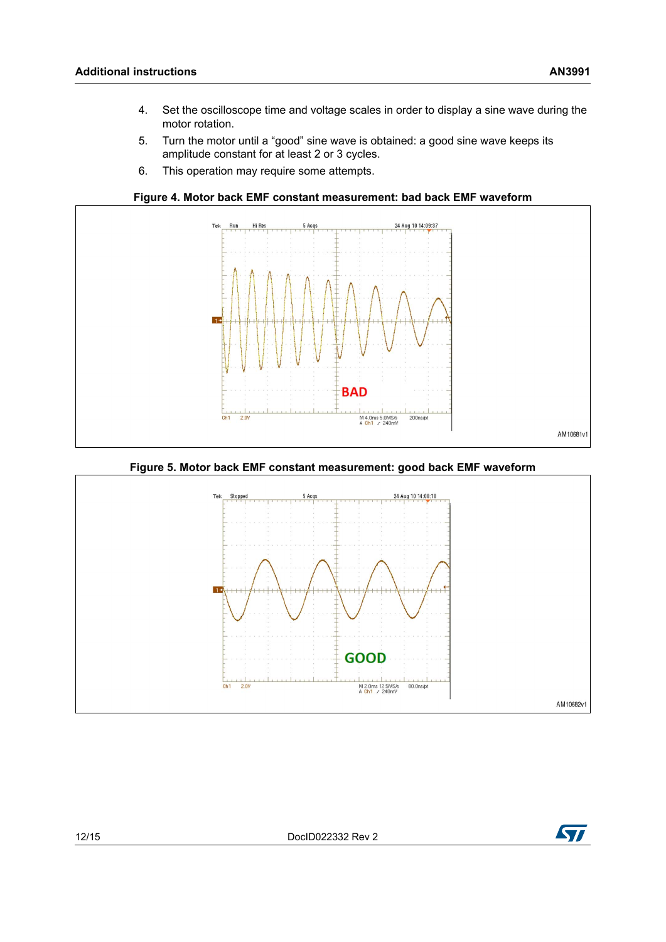- $\overline{4}$ . Set the oscilloscope time and voltage scales in order to display a sine wave during the motor rotation.
- 5. Turn the motor until a "good" sine wave is obtained: a good sine wave keeps its amplitude constant for at least 2 or 3 cycles.
- 6. This operation may require some attempts.



#### **Figure 5. Motor back EMF constant measurement: good back EMF waveform**



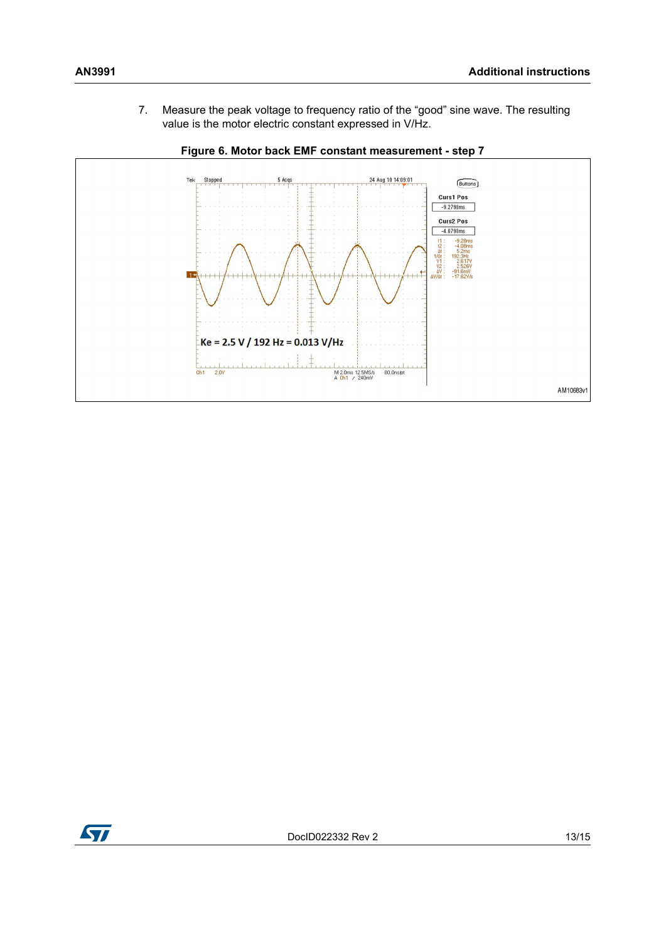



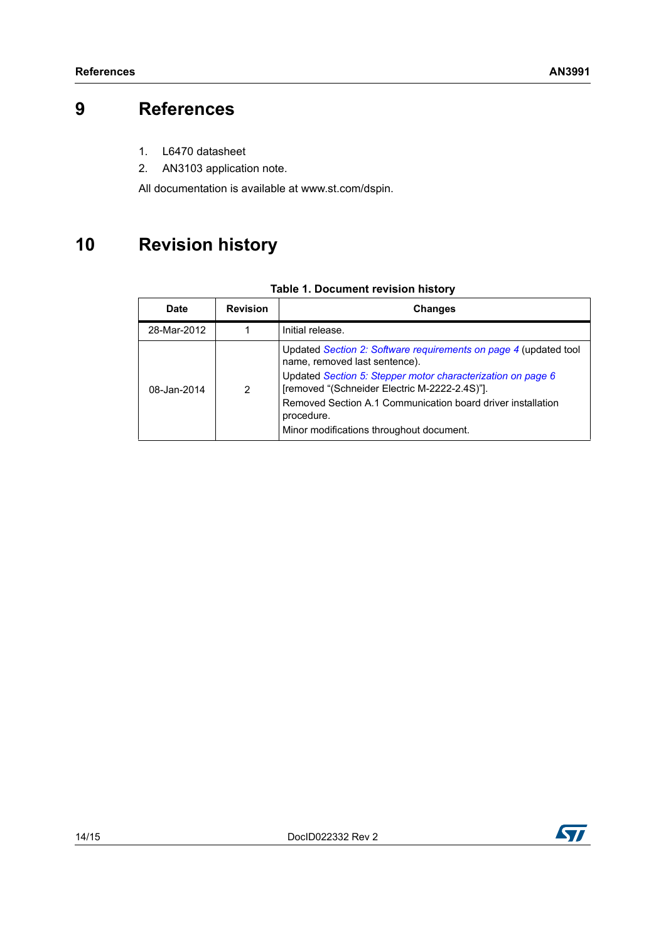# <span id="page-13-0"></span>**9 References**

- 1. L6470 datasheet
- 2. AN3103 application note.

All documentation is available at www.st.com/dspin.

# <span id="page-13-1"></span>**10 Revision history**

|  | <b>Table 1. Document revision history</b> |  |  |
|--|-------------------------------------------|--|--|
|--|-------------------------------------------|--|--|

| <b>Date</b> | <b>Revision</b> | <b>Changes</b>                                                                                               |
|-------------|-----------------|--------------------------------------------------------------------------------------------------------------|
| 28-Mar-2012 |                 | Initial release.                                                                                             |
|             | 2               | Updated Section 2: Software requirements on page 4 (updated tool<br>name, removed last sentence).            |
| 08-Jan-2014 |                 | Updated Section 5: Stepper motor characterization on page 6<br>[removed "(Schneider Electric M-2222-2.4S)"]. |
|             |                 | Removed Section A.1 Communication board driver installation<br>procedure.                                    |
|             |                 | Minor modifications throughout document.                                                                     |